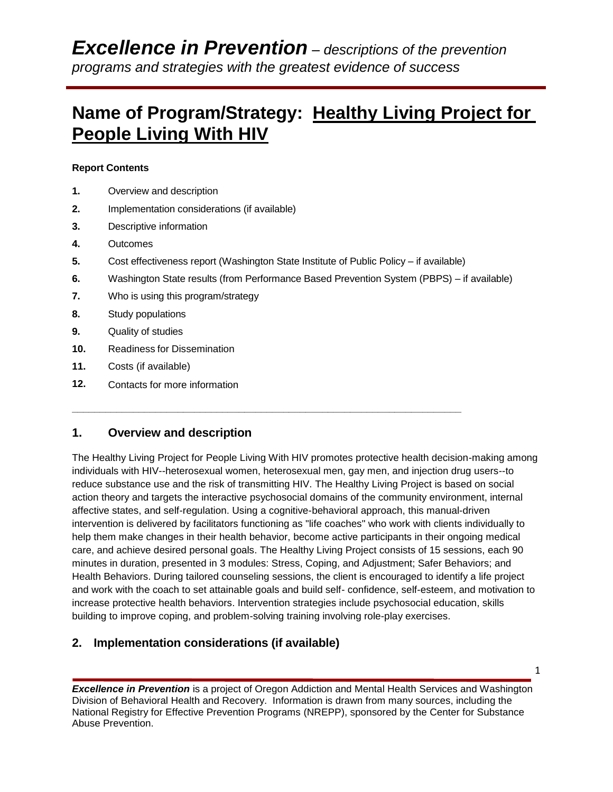# **Name of Program/Strategy: Healthy Living Project for People Living With HIV**

#### **Report Contents**

- **1.** Overview and description
- **2.** Implementation considerations (if available)
- **3.** Descriptive information
- **4.** Outcomes
- **5.** Cost effectiveness report (Washington State Institute of Public Policy if available)

**\_\_\_\_\_\_\_\_\_\_\_\_\_\_\_\_\_\_\_\_\_\_\_\_\_\_\_\_\_\_\_\_\_\_\_\_\_\_\_\_\_\_\_\_\_\_\_\_\_\_\_\_\_\_\_\_\_\_\_\_\_\_\_\_\_\_\_\_\_\_**

- **6.** Washington State results (from Performance Based Prevention System (PBPS) if available)
- **7.** Who is using this program/strategy
- **8.** Study populations
- **9.** Quality of studies
- **10.** Readiness for Dissemination
- **11.** Costs (if available)
- **12.** Contacts for more information

## **1. Overview and description**

The Healthy Living Project for People Living With HIV promotes protective health decision-making among individuals with HIV--heterosexual women, heterosexual men, gay men, and injection drug users--to reduce substance use and the risk of transmitting HIV. The Healthy Living Project is based on social action theory and targets the interactive psychosocial domains of the community environment, internal affective states, and self-regulation. Using a cognitive-behavioral approach, this manual-driven intervention is delivered by facilitators functioning as "life coaches" who work with clients individually to help them make changes in their health behavior, become active participants in their ongoing medical care, and achieve desired personal goals. The Healthy Living Project consists of 15 sessions, each 90 minutes in duration, presented in 3 modules: Stress, Coping, and Adjustment; Safer Behaviors; and Health Behaviors. During tailored counseling sessions, the client is encouraged to identify a life project and work with the coach to set attainable goals and build self- confidence, self-esteem, and motivation to increase protective health behaviors. Intervention strategies include psychosocial education, skills building to improve coping, and problem-solving training involving role-play exercises.

## **2. Implementation considerations (if available)**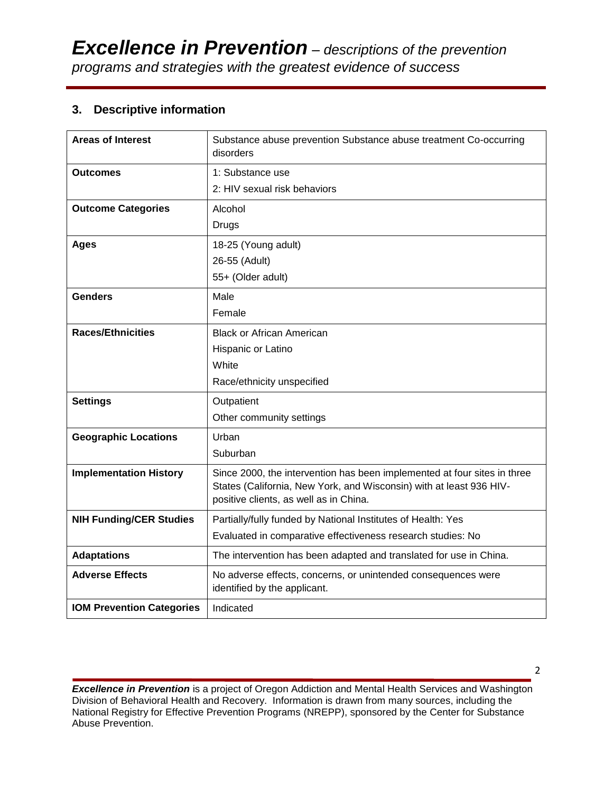## **3. Descriptive information**

| <b>Areas of Interest</b>         | Substance abuse prevention Substance abuse treatment Co-occurring<br>disorders                                |
|----------------------------------|---------------------------------------------------------------------------------------------------------------|
| <b>Outcomes</b>                  | 1: Substance use                                                                                              |
|                                  | 2: HIV sexual risk behaviors                                                                                  |
| <b>Outcome Categories</b>        | Alcohol                                                                                                       |
|                                  | Drugs                                                                                                         |
| <b>Ages</b>                      | 18-25 (Young adult)                                                                                           |
|                                  | 26-55 (Adult)                                                                                                 |
|                                  | 55+ (Older adult)                                                                                             |
| <b>Genders</b>                   | Male                                                                                                          |
|                                  | Female                                                                                                        |
| <b>Races/Ethnicities</b>         | <b>Black or African American</b>                                                                              |
|                                  | Hispanic or Latino                                                                                            |
|                                  | White                                                                                                         |
|                                  | Race/ethnicity unspecified                                                                                    |
| <b>Settings</b>                  | Outpatient                                                                                                    |
|                                  | Other community settings                                                                                      |
| <b>Geographic Locations</b>      | Urban                                                                                                         |
|                                  | Suburban                                                                                                      |
| <b>Implementation History</b>    | Since 2000, the intervention has been implemented at four sites in three                                      |
|                                  | States (California, New York, and Wisconsin) with at least 936 HIV-<br>positive clients, as well as in China. |
| <b>NIH Funding/CER Studies</b>   | Partially/fully funded by National Institutes of Health: Yes                                                  |
|                                  | Evaluated in comparative effectiveness research studies: No                                                   |
| <b>Adaptations</b>               | The intervention has been adapted and translated for use in China.                                            |
| <b>Adverse Effects</b>           | No adverse effects, concerns, or unintended consequences were<br>identified by the applicant.                 |
| <b>IOM Prevention Categories</b> | Indicated                                                                                                     |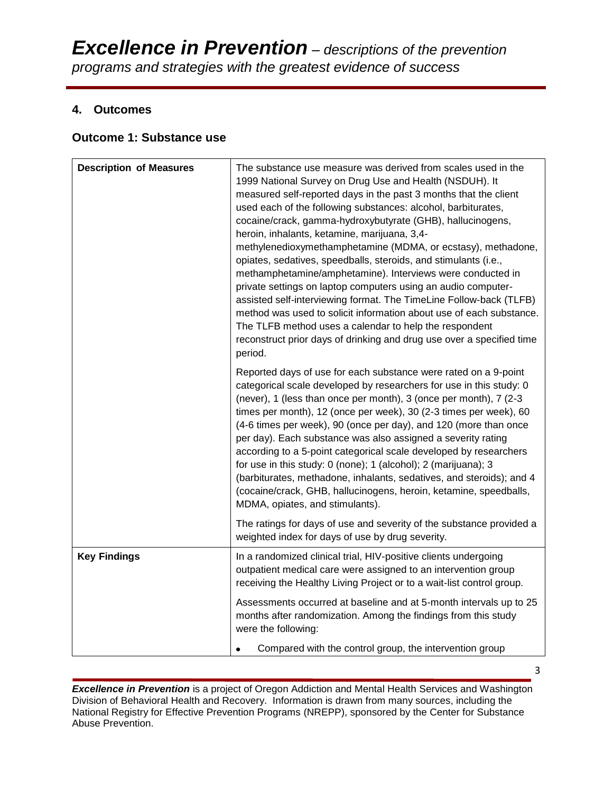## **4. Outcomes**

### **Outcome 1: Substance use**

| <b>Description of Measures</b> | The substance use measure was derived from scales used in the<br>1999 National Survey on Drug Use and Health (NSDUH). It<br>measured self-reported days in the past 3 months that the client<br>used each of the following substances: alcohol, barbiturates,<br>cocaine/crack, gamma-hydroxybutyrate (GHB), hallucinogens,<br>heroin, inhalants, ketamine, marijuana, 3,4-<br>methylenedioxymethamphetamine (MDMA, or ecstasy), methadone,<br>opiates, sedatives, speedballs, steroids, and stimulants (i.e.,<br>methamphetamine/amphetamine). Interviews were conducted in<br>private settings on laptop computers using an audio computer-<br>assisted self-interviewing format. The TimeLine Follow-back (TLFB)<br>method was used to solicit information about use of each substance.<br>The TLFB method uses a calendar to help the respondent<br>reconstruct prior days of drinking and drug use over a specified time<br>period. |
|--------------------------------|------------------------------------------------------------------------------------------------------------------------------------------------------------------------------------------------------------------------------------------------------------------------------------------------------------------------------------------------------------------------------------------------------------------------------------------------------------------------------------------------------------------------------------------------------------------------------------------------------------------------------------------------------------------------------------------------------------------------------------------------------------------------------------------------------------------------------------------------------------------------------------------------------------------------------------------|
|                                | Reported days of use for each substance were rated on a 9-point<br>categorical scale developed by researchers for use in this study: 0<br>(never), 1 (less than once per month), 3 (once per month), 7 (2-3<br>times per month), 12 (once per week), 30 (2-3 times per week), 60<br>(4-6 times per week), 90 (once per day), and 120 (more than once<br>per day). Each substance was also assigned a severity rating<br>according to a 5-point categorical scale developed by researchers<br>for use in this study: 0 (none); 1 (alcohol); 2 (marijuana); 3<br>(barbiturates, methadone, inhalants, sedatives, and steroids); and 4<br>(cocaine/crack, GHB, hallucinogens, heroin, ketamine, speedballs,<br>MDMA, opiates, and stimulants).                                                                                                                                                                                              |
|                                | The ratings for days of use and severity of the substance provided a<br>weighted index for days of use by drug severity.                                                                                                                                                                                                                                                                                                                                                                                                                                                                                                                                                                                                                                                                                                                                                                                                                 |
| <b>Key Findings</b>            | In a randomized clinical trial, HIV-positive clients undergoing<br>outpatient medical care were assigned to an intervention group<br>receiving the Healthy Living Project or to a wait-list control group.                                                                                                                                                                                                                                                                                                                                                                                                                                                                                                                                                                                                                                                                                                                               |
|                                | Assessments occurred at baseline and at 5-month intervals up to 25<br>months after randomization. Among the findings from this study<br>were the following:                                                                                                                                                                                                                                                                                                                                                                                                                                                                                                                                                                                                                                                                                                                                                                              |
|                                | Compared with the control group, the intervention group<br>$\bullet$                                                                                                                                                                                                                                                                                                                                                                                                                                                                                                                                                                                                                                                                                                                                                                                                                                                                     |

**Excellence in Prevention** is a project of Oregon Addiction and Mental Health Services and Washington Division of Behavioral Health and Recovery. Information is drawn from many sources, including the National Registry for Effective Prevention Programs (NREPP), sponsored by the Center for Substance Abuse Prevention.

3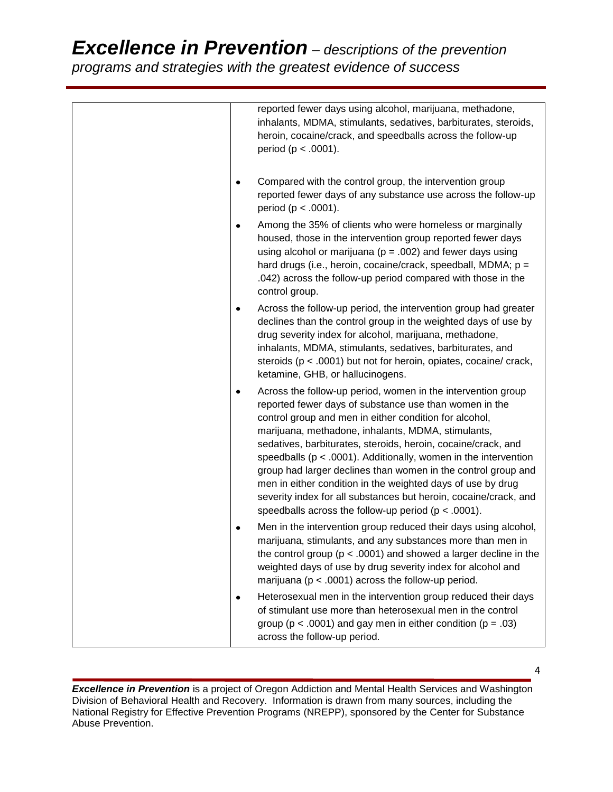|   | reported fewer days using alcohol, marijuana, methadone,<br>inhalants, MDMA, stimulants, sedatives, barbiturates, steroids,<br>heroin, cocaine/crack, and speedballs across the follow-up<br>period ( $p < .0001$ ).                                                                                                                                                                                                                                                                                                                                                                                                                          |
|---|-----------------------------------------------------------------------------------------------------------------------------------------------------------------------------------------------------------------------------------------------------------------------------------------------------------------------------------------------------------------------------------------------------------------------------------------------------------------------------------------------------------------------------------------------------------------------------------------------------------------------------------------------|
|   | Compared with the control group, the intervention group<br>reported fewer days of any substance use across the follow-up<br>period ( $p < .0001$ ).                                                                                                                                                                                                                                                                                                                                                                                                                                                                                           |
| ٠ | Among the 35% of clients who were homeless or marginally<br>housed, those in the intervention group reported fewer days<br>using alcohol or marijuana ( $p = .002$ ) and fewer days using<br>hard drugs (i.e., heroin, cocaine/crack, speedball, MDMA; p =<br>.042) across the follow-up period compared with those in the<br>control group.                                                                                                                                                                                                                                                                                                  |
| ٠ | Across the follow-up period, the intervention group had greater<br>declines than the control group in the weighted days of use by<br>drug severity index for alcohol, marijuana, methadone,<br>inhalants, MDMA, stimulants, sedatives, barbiturates, and<br>steroids ( $p < .0001$ ) but not for heroin, opiates, cocaine/ crack,<br>ketamine, GHB, or hallucinogens.                                                                                                                                                                                                                                                                         |
| ٠ | Across the follow-up period, women in the intervention group<br>reported fewer days of substance use than women in the<br>control group and men in either condition for alcohol,<br>marijuana, methadone, inhalants, MDMA, stimulants,<br>sedatives, barbiturates, steroids, heroin, cocaine/crack, and<br>speedballs ( $p < .0001$ ). Additionally, women in the intervention<br>group had larger declines than women in the control group and<br>men in either condition in the weighted days of use by drug<br>severity index for all substances but heroin, cocaine/crack, and<br>speedballs across the follow-up period ( $p < .0001$ ). |
| ٠ | Men in the intervention group reduced their days using alcohol,<br>marijuana, stimulants, and any substances more than men in<br>the control group ( $p < .0001$ ) and showed a larger decline in the<br>weighted days of use by drug severity index for alcohol and<br>marijuana ( $p < .0001$ ) across the follow-up period.                                                                                                                                                                                                                                                                                                                |
| ٠ | Heterosexual men in the intervention group reduced their days<br>of stimulant use more than heterosexual men in the control<br>group ( $p < .0001$ ) and gay men in either condition ( $p = .03$ )<br>across the follow-up period.                                                                                                                                                                                                                                                                                                                                                                                                            |

**Excellence in Prevention** is a project of Oregon Addiction and Mental Health Services and Washington Division of Behavioral Health and Recovery. Information is drawn from many sources, including the National Registry for Effective Prevention Programs (NREPP), sponsored by the Center for Substance Abuse Prevention.

4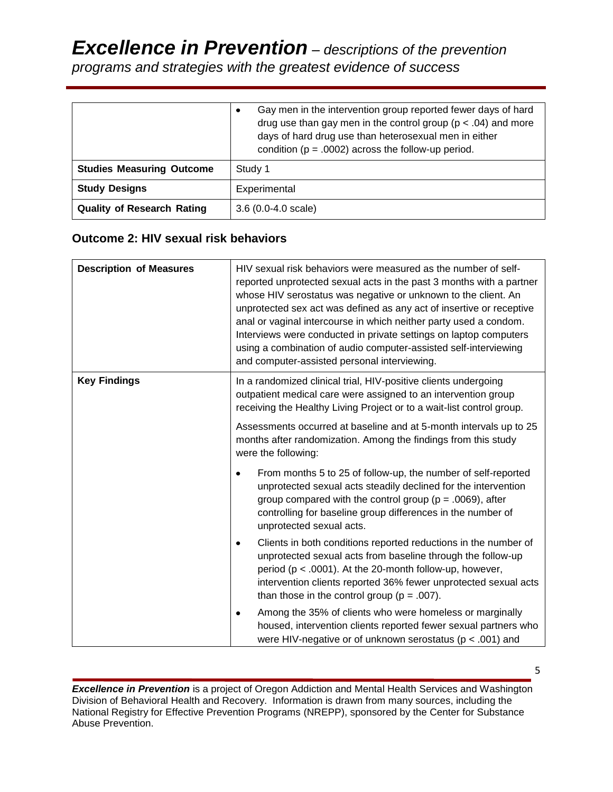|                                   | Gay men in the intervention group reported fewer days of hard<br>$\bullet$<br>drug use than gay men in the control group ( $p < .04$ ) and more<br>days of hard drug use than heterosexual men in either<br>condition ( $p = .0002$ ) across the follow-up period. |
|-----------------------------------|--------------------------------------------------------------------------------------------------------------------------------------------------------------------------------------------------------------------------------------------------------------------|
| <b>Studies Measuring Outcome</b>  | Study 1                                                                                                                                                                                                                                                            |
| <b>Study Designs</b>              | Experimental                                                                                                                                                                                                                                                       |
| <b>Quality of Research Rating</b> | $3.6(0.0-4.0 scale)$                                                                                                                                                                                                                                               |

## **Outcome 2: HIV sexual risk behaviors**

| <b>Description of Measures</b> | HIV sexual risk behaviors were measured as the number of self-<br>reported unprotected sexual acts in the past 3 months with a partner<br>whose HIV serostatus was negative or unknown to the client. An<br>unprotected sex act was defined as any act of insertive or receptive<br>anal or vaginal intercourse in which neither party used a condom.<br>Interviews were conducted in private settings on laptop computers<br>using a combination of audio computer-assisted self-interviewing<br>and computer-assisted personal interviewing. |  |
|--------------------------------|------------------------------------------------------------------------------------------------------------------------------------------------------------------------------------------------------------------------------------------------------------------------------------------------------------------------------------------------------------------------------------------------------------------------------------------------------------------------------------------------------------------------------------------------|--|
| <b>Key Findings</b>            | In a randomized clinical trial, HIV-positive clients undergoing<br>outpatient medical care were assigned to an intervention group<br>receiving the Healthy Living Project or to a wait-list control group.                                                                                                                                                                                                                                                                                                                                     |  |
|                                | Assessments occurred at baseline and at 5-month intervals up to 25<br>months after randomization. Among the findings from this study<br>were the following:                                                                                                                                                                                                                                                                                                                                                                                    |  |
|                                | From months 5 to 25 of follow-up, the number of self-reported<br>$\bullet$<br>unprotected sexual acts steadily declined for the intervention<br>group compared with the control group ( $p = .0069$ ), after<br>controlling for baseline group differences in the number of<br>unprotected sexual acts.                                                                                                                                                                                                                                        |  |
|                                | Clients in both conditions reported reductions in the number of<br>٠<br>unprotected sexual acts from baseline through the follow-up<br>period (p < .0001). At the 20-month follow-up, however,<br>intervention clients reported 36% fewer unprotected sexual acts<br>than those in the control group ( $p = .007$ ).                                                                                                                                                                                                                           |  |
|                                | Among the 35% of clients who were homeless or marginally<br>٠<br>housed, intervention clients reported fewer sexual partners who<br>were HIV-negative or of unknown serostatus ( $p < .001$ ) and                                                                                                                                                                                                                                                                                                                                              |  |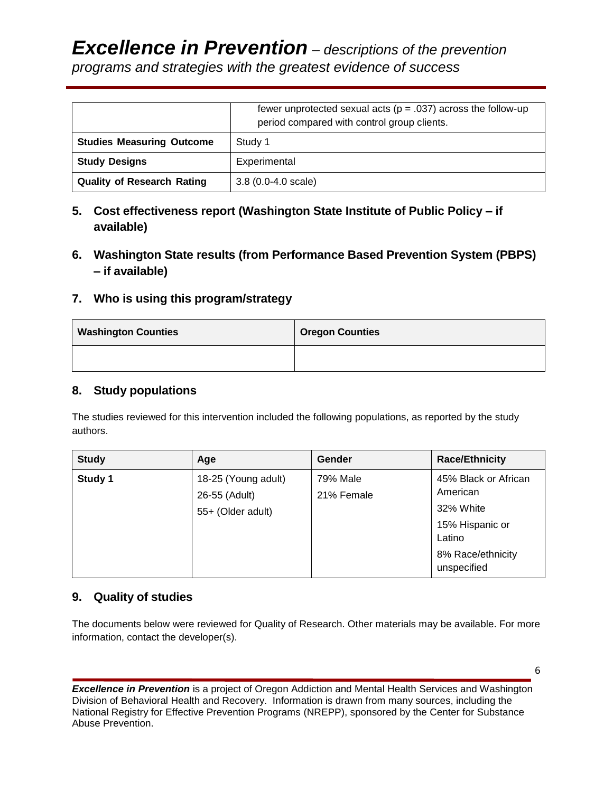|                                   | fewer unprotected sexual acts ( $p = .037$ ) across the follow-up<br>period compared with control group clients. |  |
|-----------------------------------|------------------------------------------------------------------------------------------------------------------|--|
| <b>Studies Measuring Outcome</b>  | Study 1                                                                                                          |  |
| <b>Study Designs</b>              | Experimental                                                                                                     |  |
| <b>Quality of Research Rating</b> | $3.8(0.0-4.0 \text{ scale})$                                                                                     |  |

- **5. Cost effectiveness report (Washington State Institute of Public Policy – if available)**
- **6. Washington State results (from Performance Based Prevention System (PBPS) – if available)**
- **7. Who is using this program/strategy**

| <b>Washington Counties</b> | <b>Oregon Counties</b> |
|----------------------------|------------------------|
|                            |                        |

## **8. Study populations**

The studies reviewed for this intervention included the following populations, as reported by the study authors.

| <b>Study</b> | Age                                                       | Gender                 | <b>Race/Ethnicity</b>                                                                                          |
|--------------|-----------------------------------------------------------|------------------------|----------------------------------------------------------------------------------------------------------------|
| Study 1      | 18-25 (Young adult)<br>26-55 (Adult)<br>55+ (Older adult) | 79% Male<br>21% Female | 45% Black or African<br>American<br>32% White<br>15% Hispanic or<br>Latino<br>8% Race/ethnicity<br>unspecified |

## **9. Quality of studies**

The documents below were reviewed for Quality of Research. Other materials may be available. For more information, contact the developer(s).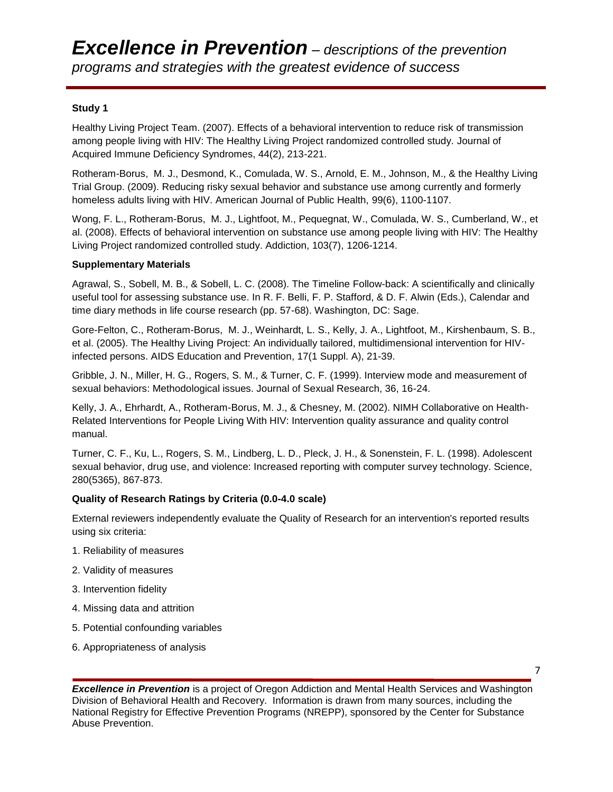#### **Study 1**

[Healthy Living Project Team. \(2007\). Effects of a behavioral intervention to reduce risk of transmission](http://www.ncbi.nlm.nih.gov/pubmed/17146375)  [among people living with HIV: The](http://www.ncbi.nlm.nih.gov/pubmed/17146375) Healthy Living Project randomized controlled study. Journal of Acquired Immune Deficiency Syndromes, 44(2), 213-221.

Rotheram-Borus, M. J., Desmond, K., Comulada, W. S., Arnold, E. M., Johnson, M., & the Healthy Living Trial Group. (2009). Reducing risky sexual behavior and substance use among currently and formerly homeless adults living with HIV. American Journal of Public Health, 99(6), 1100-1107.

Wong, F. L., Rotheram-Borus, M. J., Lightfoot, M., Pequegnat, W., Comulada, W. S., Cumberland, W., et al. (2008). Effects of behavioral intervention on substance use among people living with HIV: The Healthy Living Project randomized controlled study. Addiction, 103(7), 1206-1214.

#### **Supplementary Materials**

Agrawal, S., Sobell, M. B., & Sobell, L. C. (2008). The Timeline Follow-back: A scientifically and clinically useful tool for assessing substance use. In R. F. Belli, F. P. Stafford, & D. F. Alwin (Eds.), Calendar and time diary methods in life course research (pp. 57-68). Washington, DC: Sage.

Gore-Felton, C., Rotheram-Borus, M. J., Weinhardt, L. S., Kelly, J. A., Lightfoot, M., Kirshenbaum, S. B., et al. (2005). The Healthy Living [Project: An individually tailored, multidimensional intervention for HIV](http://www.ncbi.nlm.nih.gov/pubmed/15843115)[infected persons. AIDS Education and Prevention, 17\(1 Suppl. A\),](http://www.ncbi.nlm.nih.gov/pubmed/15843115) 21-39.

Gribble, J. N., Miller, H. G., Rogers, S. M., & Turner, C. F. (1999). Interview mode and measurement of sexual behaviors: Methodological issues. Journal of Sexual Research, 36, 16-24.

Kelly, J. A., Ehrhardt, A., Rotheram-Borus, M. J., & Chesney, M. (2002). NIMH Collaborative on Health-Related Interventions for People Living With HIV: Intervention quality assurance and quality control manual.

Turner, C. F., Ku, L., Rogers, S. M., Lindberg, L. D., Pleck, J. H., & Sonenstein, F. L. (1998). Adolescent sexual behavior, drug use, and violence: Increased reporting with computer survey technology. Science, 280(5365), 867-873.

#### **Quality of Research Ratings by Criteria (0.0-4.0 scale)**

External reviewers independently evaluate the Quality of Research for an intervention's reported results using six criteria:

- 1. Reliability of measures
- 2. Validity of measures
- 3. Intervention fidelity
- 4. Missing data and attrition
- 5. Potential confounding variables
- 6. Appropriateness of analysis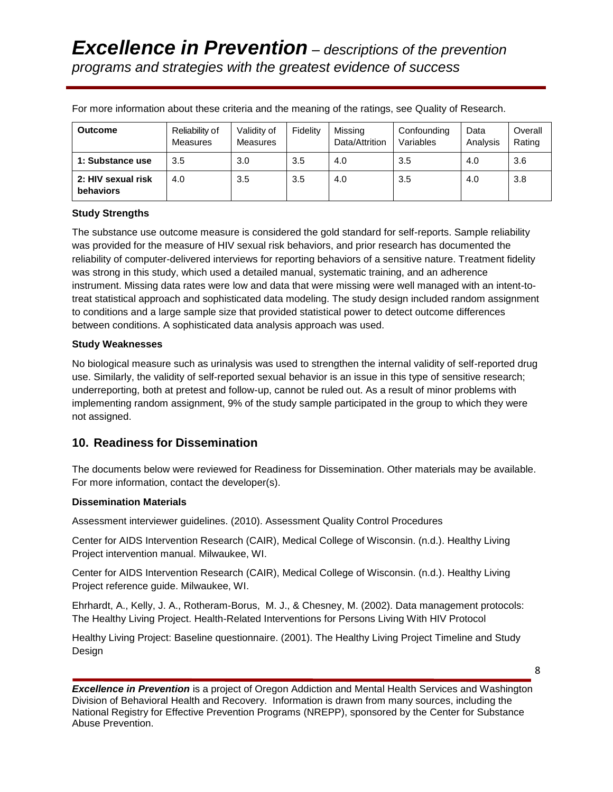| <b>Outcome</b>                  | Reliability of<br>Measures | Validity of<br>Measures | Fidelity | Missing<br>Data/Attrition | Confounding<br>Variables | Data<br>Analysis | Overall<br>Rating |
|---------------------------------|----------------------------|-------------------------|----------|---------------------------|--------------------------|------------------|-------------------|
| 1: Substance use                | 3.5                        | 3.0                     | 3.5      | 4.0                       | 3.5                      | 4.0              | 3.6               |
| 2: HIV sexual risk<br>behaviors | 4.0                        | 3.5                     | 3.5      | 4.0                       | 3.5                      | 4.0              | 3.8               |

For more information about these criteria and the meaning of the ratings, see Quality of Research.

#### **Study Strengths**

The substance use outcome measure is considered the gold standard for self-reports. Sample reliability was provided for the measure of HIV sexual risk behaviors, and prior research has documented the reliability of computer-delivered interviews for reporting behaviors of a sensitive nature. Treatment fidelity was strong in this study, which used a detailed manual, systematic training, and an adherence instrument. Missing data rates were low and data that were missing were well managed with an intent-totreat statistical approach and sophisticated data modeling. The study design included random assignment to conditions and a large sample size that provided statistical power to detect outcome differences between conditions. A sophisticated data analysis approach was used.

#### **Study Weaknesses**

No biological measure such as urinalysis was used to strengthen the internal validity of self-reported drug use. Similarly, the validity of self-reported sexual behavior is an issue in this type of sensitive research; underreporting, both at pretest and follow-up, cannot be ruled out. As a result of minor problems with implementing random assignment, 9% of the study sample participated in the group to which they were not assigned.

### **10. Readiness for Dissemination**

The documents below were reviewed for Readiness for Dissemination. Other materials may be available. For more information, contact the developer(s).

#### **Dissemination Materials**

Assessment interviewer guidelines. (2010). Assessment Quality Control Procedures

Center for AIDS Intervention Research (CAIR), Medical College of Wisconsin. (n.d.). Healthy Living Project intervention manual. Milwaukee, WI.

Center for AIDS Intervention Research (CAIR), Medical College of Wisconsin. (n.d.). Healthy Living Project reference guide. Milwaukee, WI.

Ehrhardt, A., Kelly, J. A., Rotheram-Borus, M. J., & Chesney, M. (2002). Data management protocols: The Healthy Living Project. Health-Related Interventions for Persons Living With HIV Protocol

Healthy Living Project: Baseline questionnaire. (2001). The Healthy Living Project Timeline and Study Design

*Excellence in Prevention* is a project of Oregon Addiction and Mental Health Services and Washington Division of Behavioral Health and Recovery. Information is drawn from many sources, including the National Registry for Effective Prevention Programs (NREPP), sponsored by the Center for Substance Abuse Prevention.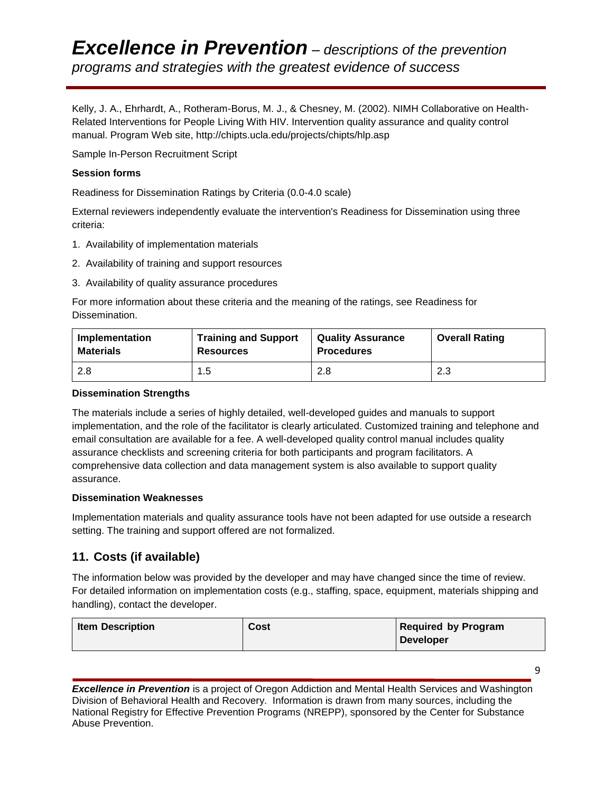Kelly, J. A., Ehrhardt, A., Rotheram-Borus, M. J., & Chesney, M. (2002). NIMH Collaborative on Health-Related Interventions for People Living With HIV. Intervention quality assurance and quality control manual. Program Web site, http://chipts.ucla.edu/projects/chipts/hlp.asp

Sample In-Person Recruitment Script

#### **Session forms**

Readiness for Dissemination Ratings by Criteria (0.0-4.0 scale)

External reviewers independently evaluate the intervention's Readiness for Dissemination using three criteria:

- 1. Availability of implementation materials
- 2. Availability of training and support resources
- 3. Availability of quality assurance procedures

For more information about these criteria and the meaning of the ratings, see Readiness for Dissemination.

| Implementation   | <b>Training and Support</b> | <b>Quality Assurance</b> | <b>Overall Rating</b> |
|------------------|-----------------------------|--------------------------|-----------------------|
| <b>Materials</b> | <b>Resources</b>            | <b>Procedures</b>        |                       |
| 2.8              | 1.5                         | 2.8                      | 2.3                   |

#### **Dissemination Strengths**

The materials include a series of highly detailed, well-developed guides and manuals to support implementation, and the role of the facilitator is clearly articulated. Customized training and telephone and email consultation are available for a fee. A well-developed quality control manual includes quality assurance checklists and screening criteria for both participants and program facilitators. A comprehensive data collection and data management system is also available to support quality assurance.

#### **Dissemination Weaknesses**

Implementation materials and quality assurance tools have not been adapted for use outside a research setting. The training and support offered are not formalized.

## **11. Costs (if available)**

The information below was provided by the developer and may have changed since the time of review. For detailed information on implementation costs (e.g., staffing, space, equipment, materials shipping and handling), contact the developer.

| <b>Item Description</b> | Cost | <b>Required by Program</b> |
|-------------------------|------|----------------------------|
|                         |      | Developer                  |